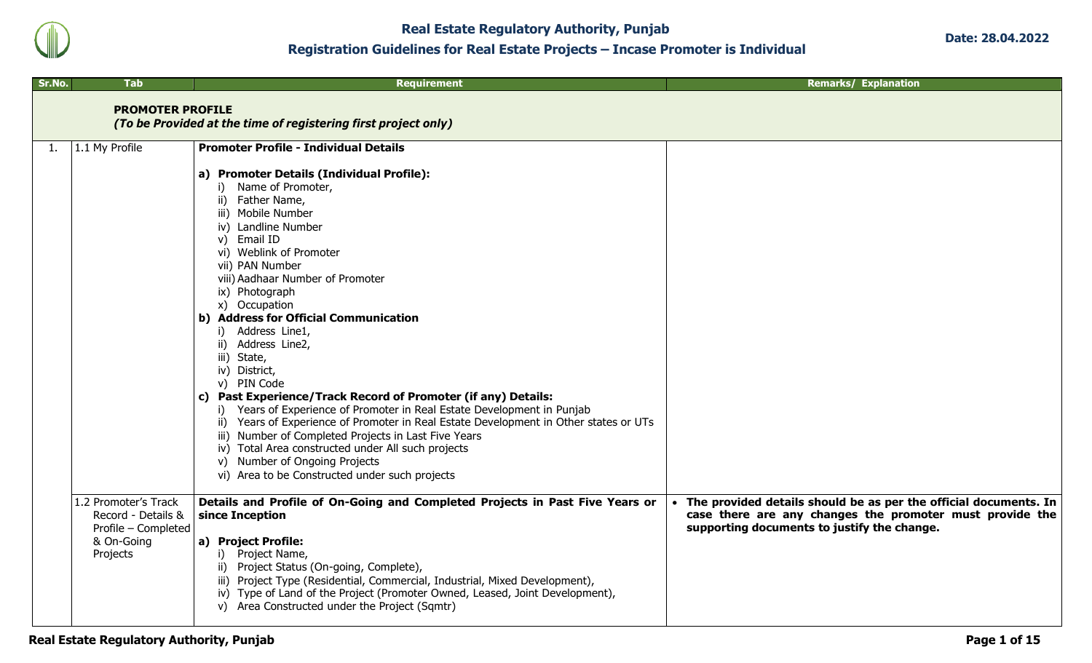

**Real Estate Regulatory Authority, Punjab Registration Guidelines for Real Estate Projects – Incase Promoter is Individual**

| Sr.No. | Tab                                                                                         | <b>Requirement</b>                                                                                                                                                                                                                                                                                                                                                                                                                                                                                                                                                                                                                                                                                                                                                                                                                                                                                  | <b>Remarks/ Explanation</b>                                                                                                                                                 |
|--------|---------------------------------------------------------------------------------------------|-----------------------------------------------------------------------------------------------------------------------------------------------------------------------------------------------------------------------------------------------------------------------------------------------------------------------------------------------------------------------------------------------------------------------------------------------------------------------------------------------------------------------------------------------------------------------------------------------------------------------------------------------------------------------------------------------------------------------------------------------------------------------------------------------------------------------------------------------------------------------------------------------------|-----------------------------------------------------------------------------------------------------------------------------------------------------------------------------|
|        | <b>PROMOTER PROFILE</b>                                                                     | (To be Provided at the time of registering first project only)                                                                                                                                                                                                                                                                                                                                                                                                                                                                                                                                                                                                                                                                                                                                                                                                                                      |                                                                                                                                                                             |
| 1.     | 1.1 My Profile                                                                              | <b>Promoter Profile - Individual Details</b><br>a) Promoter Details (Individual Profile):<br>i) Name of Promoter,<br>ii) Father Name,<br>iii) Mobile Number<br>iv) Landline Number<br>v) Email ID<br>vi) Weblink of Promoter<br>vii) PAN Number<br>viii) Aadhaar Number of Promoter<br>ix) Photograph<br>x) Occupation<br>b) Address for Official Communication<br>Address Line1,<br>i).<br>ii) Address Line2,<br>iii) State,<br>iv) District,<br>v) PIN Code<br>c) Past Experience/Track Record of Promoter (if any) Details:<br>i) Years of Experience of Promoter in Real Estate Development in Punjab<br>ii) Years of Experience of Promoter in Real Estate Development in Other states or UTs<br>iii) Number of Completed Projects in Last Five Years<br>iv) Total Area constructed under All such projects<br>v) Number of Ongoing Projects<br>vi) Area to be Constructed under such projects |                                                                                                                                                                             |
|        | 1.2 Promoter's Track<br>Record - Details &<br>Profile - Completed<br>& On-Going<br>Projects | Details and Profile of On-Going and Completed Projects in Past Five Years or<br>since Inception<br>a) Project Profile:<br>i) Project Name,<br>ii) Project Status (On-going, Complete),<br>iii) Project Type (Residential, Commercial, Industrial, Mixed Development),<br>iv) Type of Land of the Project (Promoter Owned, Leased, Joint Development),<br>v) Area Constructed under the Project (Sqmtr)                                                                                                                                                                                                                                                                                                                                                                                                                                                                                              | The provided details should be as per the official documents. In<br>case there are any changes the promoter must provide the<br>supporting documents to justify the change. |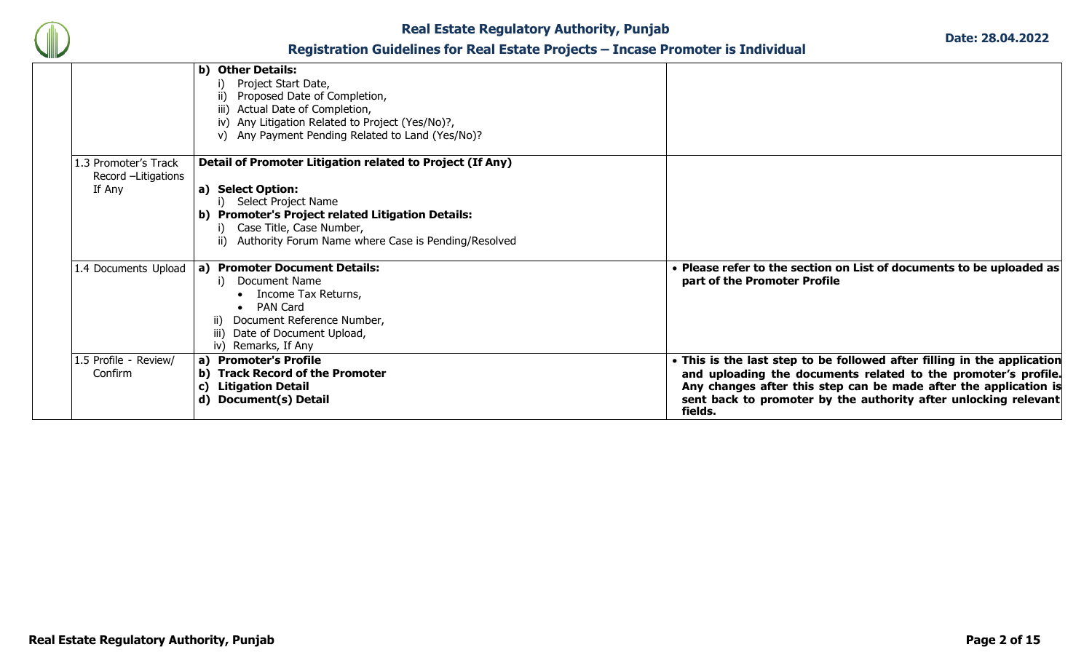

|                                                      | b) Other Details:<br>Project Start Date,<br>Proposed Date of Completion,<br>ii)<br>iii) Actual Date of Completion,<br>iv) Any Litigation Related to Project (Yes/No)?,<br>v) Any Payment Pending Related to Land (Yes/No)? |                                                                                                                                                                                                                                                                                             |
|------------------------------------------------------|----------------------------------------------------------------------------------------------------------------------------------------------------------------------------------------------------------------------------|---------------------------------------------------------------------------------------------------------------------------------------------------------------------------------------------------------------------------------------------------------------------------------------------|
| .3 Promoter's Track<br>Record -Litigations<br>If Any | Detail of Promoter Litigation related to Project (If Any)<br>a) Select Option:                                                                                                                                             |                                                                                                                                                                                                                                                                                             |
|                                                      | Select Project Name<br>b) Promoter's Project related Litigation Details:<br>Case Title, Case Number,<br>ii) Authority Forum Name where Case is Pending/Resolved                                                            |                                                                                                                                                                                                                                                                                             |
| 1.4 Documents Upload                                 | a) Promoter Document Details:<br>Document Name<br>Income Tax Returns,<br><b>PAN Card</b><br>Document Reference Number,<br>$\parallel$ )<br>iii) Date of Document Upload,<br>iv) Remarks, If Any                            | • Please refer to the section on List of documents to be uploaded as<br>part of the Promoter Profile                                                                                                                                                                                        |
| 1.5 Profile - Review/<br>Confirm                     | a) Promoter's Profile<br><b>Track Record of the Promoter</b><br>b)<br><b>Litigation Detail</b><br>C)<br>d) Document(s) Detail                                                                                              | • This is the last step to be followed after filling in the application<br>and uploading the documents related to the promoter's profile.<br>Any changes after this step can be made after the application is<br>sent back to promoter by the authority after unlocking relevant<br>fields. |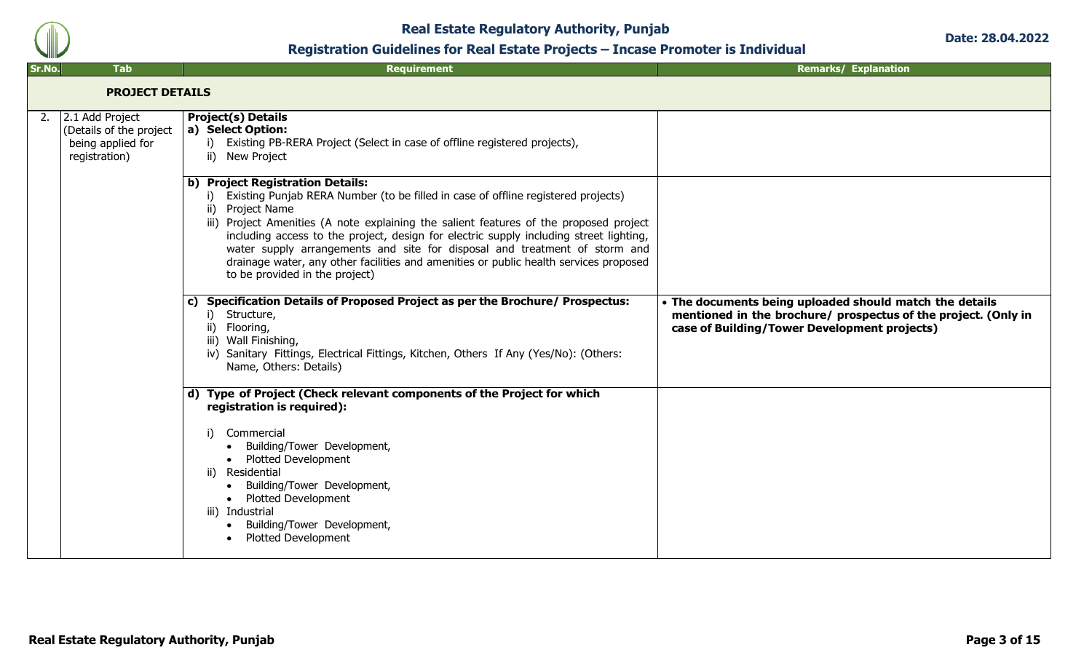

**Date: 28.04.2022**

| Sr.No. | <b>Tab</b>                                                                       | <b>Requirement</b>                                                                                                                                                                                                                                                                                                                                                                                                                                                                                                                            | <b>Remarks/ Explanation</b>                                                                                                                                               |
|--------|----------------------------------------------------------------------------------|-----------------------------------------------------------------------------------------------------------------------------------------------------------------------------------------------------------------------------------------------------------------------------------------------------------------------------------------------------------------------------------------------------------------------------------------------------------------------------------------------------------------------------------------------|---------------------------------------------------------------------------------------------------------------------------------------------------------------------------|
|        | <b>PROJECT DETAILS</b>                                                           |                                                                                                                                                                                                                                                                                                                                                                                                                                                                                                                                               |                                                                                                                                                                           |
| 2.     | 2.1 Add Project<br>(Details of the project<br>being applied for<br>registration) | <b>Project(s) Details</b><br>a) Select Option:<br>Existing PB-RERA Project (Select in case of offline registered projects),<br>i)<br>ii) New Project                                                                                                                                                                                                                                                                                                                                                                                          |                                                                                                                                                                           |
|        |                                                                                  | b) Project Registration Details:<br>Existing Punjab RERA Number (to be filled in case of offline registered projects)<br>i).<br>ii) Project Name<br>iii) Project Amenities (A note explaining the salient features of the proposed project<br>including access to the project, design for electric supply including street lighting,<br>water supply arrangements and site for disposal and treatment of storm and<br>drainage water, any other facilities and amenities or public health services proposed<br>to be provided in the project) |                                                                                                                                                                           |
|        |                                                                                  | <b>Specification Details of Proposed Project as per the Brochure/ Prospectus:</b><br>C)<br>Structure,<br>i)<br>ii) Flooring,<br>iii) Wall Finishing,<br>iv) Sanitary Fittings, Electrical Fittings, Kitchen, Others If Any (Yes/No): (Others:<br>Name, Others: Details)                                                                                                                                                                                                                                                                       | • The documents being uploaded should match the details<br>mentioned in the brochure/ prospectus of the project. (Only in<br>case of Building/Tower Development projects) |
|        |                                                                                  | d) Type of Project (Check relevant components of the Project for which<br>registration is required):<br>Commercial<br>i)<br>• Building/Tower Development,<br><b>Plotted Development</b><br>$\bullet$<br>ii) Residential<br>Building/Tower Development,<br>$\bullet$<br><b>Plotted Development</b><br>$\bullet$<br>iii) Industrial<br>Building/Tower Development,<br>$\bullet$<br><b>Plotted Development</b>                                                                                                                                   |                                                                                                                                                                           |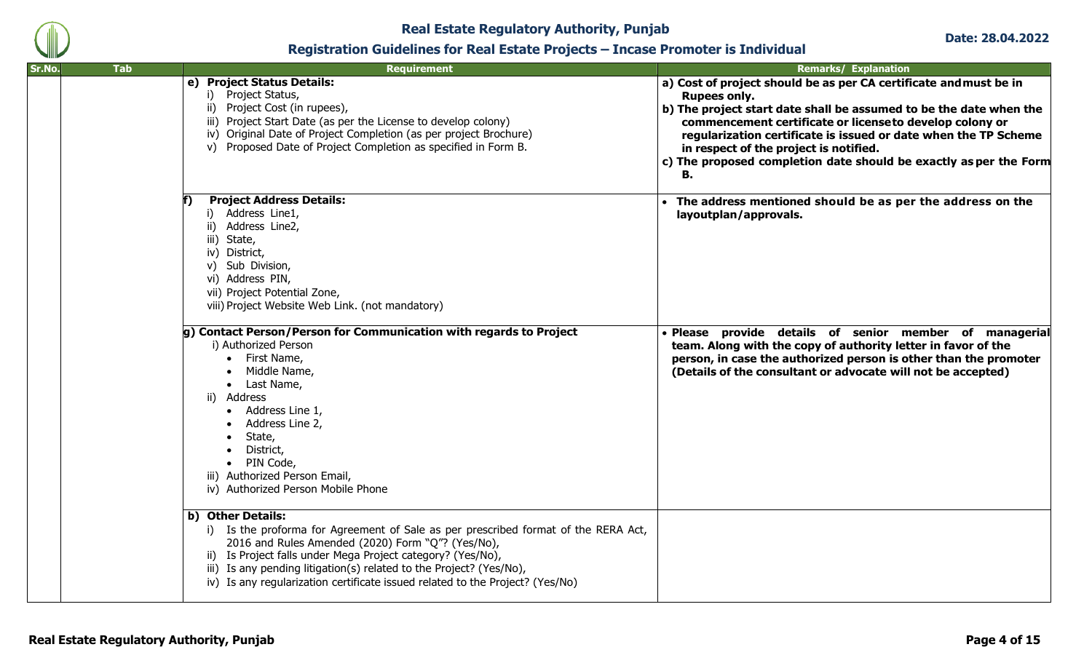

| Sr.No. | <b>Tab</b> | Requirement                                                                                                                                                                                                                                                                                                                                                                         | <b>Remarks/ Explanation</b>                                                                                                                                                                                                                                                                                                                                                                                       |
|--------|------------|-------------------------------------------------------------------------------------------------------------------------------------------------------------------------------------------------------------------------------------------------------------------------------------------------------------------------------------------------------------------------------------|-------------------------------------------------------------------------------------------------------------------------------------------------------------------------------------------------------------------------------------------------------------------------------------------------------------------------------------------------------------------------------------------------------------------|
|        |            | e) Project Status Details:<br>i) Project Status,<br>ii) Project Cost (in rupees),<br>iii) Project Start Date (as per the License to develop colony)<br>iv) Original Date of Project Completion (as per project Brochure)<br>v) Proposed Date of Project Completion as specified in Form B.                                                                                          | a) Cost of project should be as per CA certificate and must be in<br><b>Rupees only.</b><br>b) The project start date shall be assumed to be the date when the<br>commencement certificate or licenseto develop colony or<br>regularization certificate is issued or date when the TP Scheme<br>in respect of the project is notified.<br>c) The proposed completion date should be exactly as per the Form<br>в. |
|        |            | <b>Project Address Details:</b><br>i) Address Line1,<br>ii) Address Line2,<br>iii) State,<br>iv) District,<br>v) Sub Division,<br>vi) Address PIN,<br>vii) Project Potential Zone,<br>viii) Project Website Web Link. (not mandatory)                                                                                                                                               | The address mentioned should be as per the address on the<br>layoutplan/approvals.                                                                                                                                                                                                                                                                                                                                |
|        |            | g) Contact Person/Person for Communication with regards to Project<br>i) Authorized Person<br>First Name,<br>Middle Name,<br>Last Name,<br>ii) Address<br>Address Line 1,<br>Address Line 2,<br>State,<br>District,<br>PIN Code,<br>iii) Authorized Person Email,<br>iv) Authorized Person Mobile Phone                                                                             | · Please provide details of senior member of managerial<br>team. Along with the copy of authority letter in favor of the<br>person, in case the authorized person is other than the promoter<br>(Details of the consultant or advocate will not be accepted)                                                                                                                                                      |
|        |            | b) Other Details:<br>i) Is the proforma for Agreement of Sale as per prescribed format of the RERA Act,<br>2016 and Rules Amended (2020) Form "Q"? (Yes/No),<br>ii) Is Project falls under Mega Project category? (Yes/No),<br>iii) Is any pending litigation(s) related to the Project? (Yes/No),<br>iv) Is any regularization certificate issued related to the Project? (Yes/No) |                                                                                                                                                                                                                                                                                                                                                                                                                   |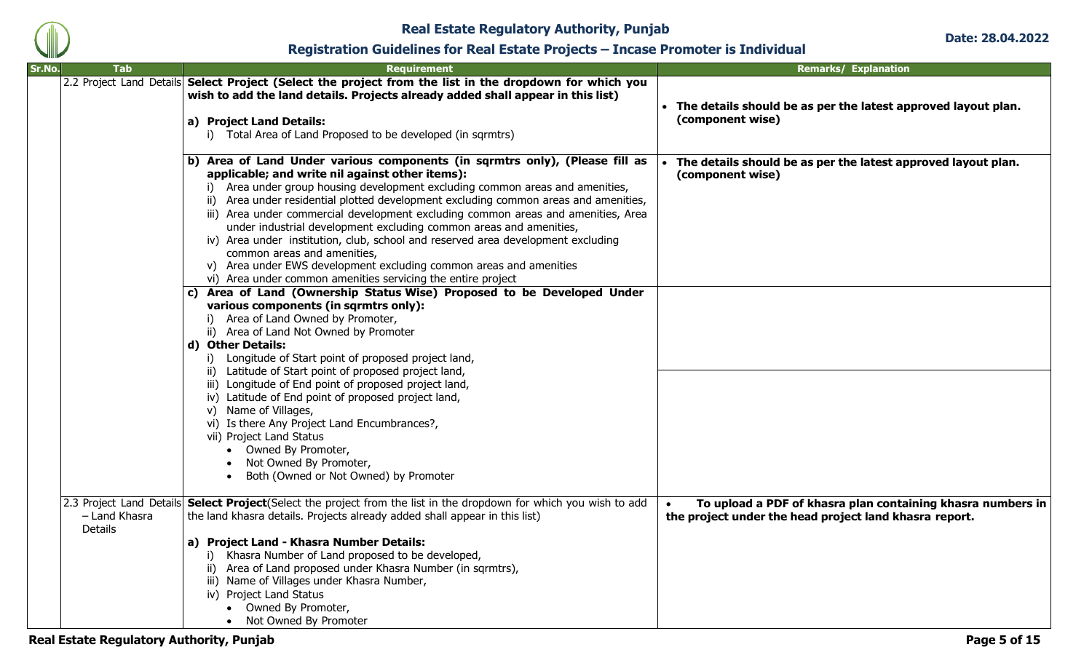

**Date: 28.04.2022**

### **Registration Guidelines for Real Estate Projects – Incase Promoter is Individual**

| Sr.No. | <b>Tab</b>               | <b>Requirement</b>                                                                                                                                                                                                                                                                                                                                                                                                                                                                                                                                                                                                                                                                                                          | <b>Remarks/ Explanation</b>                                                                                                        |
|--------|--------------------------|-----------------------------------------------------------------------------------------------------------------------------------------------------------------------------------------------------------------------------------------------------------------------------------------------------------------------------------------------------------------------------------------------------------------------------------------------------------------------------------------------------------------------------------------------------------------------------------------------------------------------------------------------------------------------------------------------------------------------------|------------------------------------------------------------------------------------------------------------------------------------|
|        |                          | 2.2 Project Land Details Select Project (Select the project from the list in the dropdown for which you<br>wish to add the land details. Projects already added shall appear in this list)<br>a) Project Land Details:<br>i) Total Area of Land Proposed to be developed (in sqrmtrs)                                                                                                                                                                                                                                                                                                                                                                                                                                       | • The details should be as per the latest approved layout plan.<br>(component wise)                                                |
|        |                          | b) Area of Land Under various components (in sqrmtrs only), (Please fill as<br>applicable; and write nil against other items):<br>i) Area under group housing development excluding common areas and amenities,<br>ii) Area under residential plotted development excluding common areas and amenities,<br>iii) Area under commercial development excluding common areas and amenities, Area<br>under industrial development excluding common areas and amenities,<br>iv) Area under institution, club, school and reserved area development excluding<br>common areas and amenities,<br>v) Area under EWS development excluding common areas and amenities<br>vi) Area under common amenities servicing the entire project | • The details should be as per the latest approved layout plan.<br>(component wise)                                                |
|        |                          | c) Area of Land (Ownership Status Wise) Proposed to be Developed Under<br>various components (in sqrmtrs only):<br>i) Area of Land Owned by Promoter,<br>ii) Area of Land Not Owned by Promoter<br>d) Other Details:<br>i) Longitude of Start point of proposed project land,<br>ii) Latitude of Start point of proposed project land,<br>iii) Longitude of End point of proposed project land,<br>iv) Latitude of End point of proposed project land,<br>v) Name of Villages,<br>vi) Is there Any Project Land Encumbrances?,<br>vii) Project Land Status<br>• Owned By Promoter,<br>Not Owned By Promoter,<br>Both (Owned or Not Owned) by Promoter                                                                       |                                                                                                                                    |
|        | - Land Khasra<br>Details | 2.3 Project Land Details Select Project (Select the project from the list in the dropdown for which you wish to add<br>the land khasra details. Projects already added shall appear in this list)<br>a) Project Land - Khasra Number Details:<br>i) Khasra Number of Land proposed to be developed,<br>ii) Area of Land proposed under Khasra Number (in sqrmtrs),<br>iii) Name of Villages under Khasra Number,<br>iv) Project Land Status<br>• Owned By Promoter,<br>• Not Owned By Promoter                                                                                                                                                                                                                              | To upload a PDF of khasra plan containing khasra numbers in<br>$\bullet$<br>the project under the head project land khasra report. |

**Real Estate Regulatory Authority, Punjab Page 5 of 15**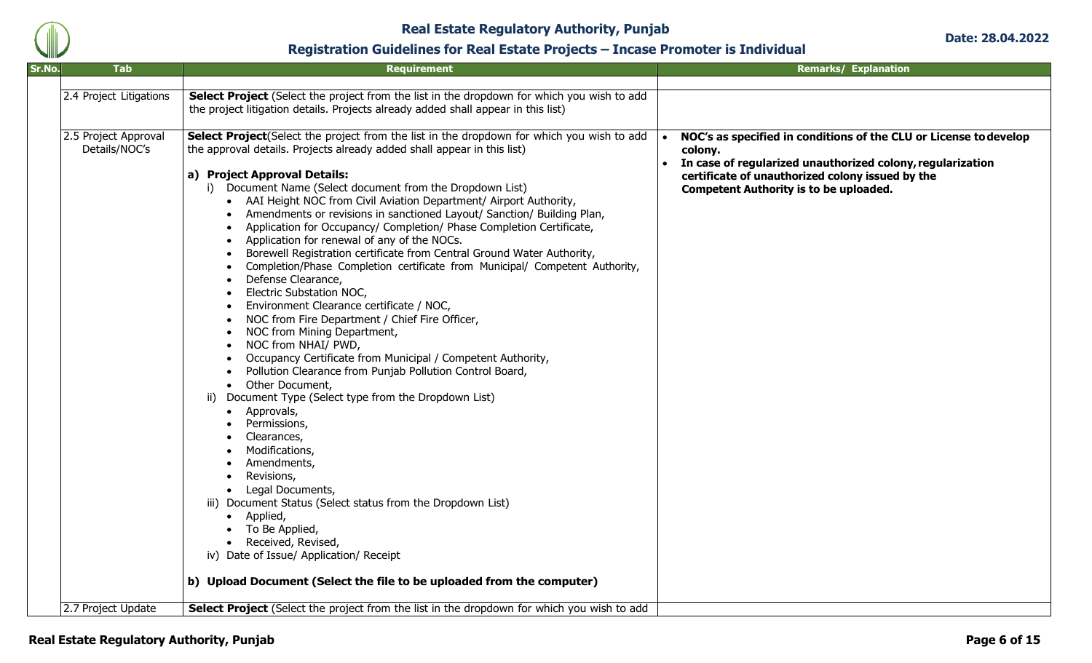

| Sr.No. | <b>Tab</b>              | <b>Requirement</b>                                                                         | <b>Remarks/ Explanation</b>                                       |
|--------|-------------------------|--------------------------------------------------------------------------------------------|-------------------------------------------------------------------|
|        |                         |                                                                                            |                                                                   |
|        | 2.4 Project Litigations | Select Project (Select the project from the list in the dropdown for which you wish to add |                                                                   |
|        |                         | the project litigation details. Projects already added shall appear in this list)          |                                                                   |
|        |                         |                                                                                            |                                                                   |
|        | 2.5 Project Approval    | Select Project (Select the project from the list in the dropdown for which you wish to add | NOC's as specified in conditions of the CLU or License to develop |
|        | Details/NOC's           | the approval details. Projects already added shall appear in this list)                    | colony.                                                           |
|        |                         |                                                                                            | In case of regularized unauthorized colony, regularization        |
|        |                         | a) Project Approval Details:                                                               | certificate of unauthorized colony issued by the                  |
|        |                         | i) Document Name (Select document from the Dropdown List)                                  | <b>Competent Authority is to be uploaded.</b>                     |
|        |                         | • AAI Height NOC from Civil Aviation Department/ Airport Authority,                        |                                                                   |
|        |                         | Amendments or revisions in sanctioned Layout/ Sanction/ Building Plan,<br>$\bullet$        |                                                                   |
|        |                         | Application for Occupancy/ Completion/ Phase Completion Certificate,                       |                                                                   |
|        |                         | Application for renewal of any of the NOCs.                                                |                                                                   |
|        |                         | Borewell Registration certificate from Central Ground Water Authority,                     |                                                                   |
|        |                         | Completion/Phase Completion certificate from Municipal/ Competent Authority,               |                                                                   |
|        |                         | Defense Clearance,                                                                         |                                                                   |
|        |                         | Electric Substation NOC,                                                                   |                                                                   |
|        |                         | Environment Clearance certificate / NOC,                                                   |                                                                   |
|        |                         | NOC from Fire Department / Chief Fire Officer,                                             |                                                                   |
|        |                         | NOC from Mining Department,                                                                |                                                                   |
|        |                         | NOC from NHAI/ PWD,                                                                        |                                                                   |
|        |                         | Occupancy Certificate from Municipal / Competent Authority,                                |                                                                   |
|        |                         | Pollution Clearance from Punjab Pollution Control Board,                                   |                                                                   |
|        |                         | Other Document,<br>$\bullet$                                                               |                                                                   |
|        |                         | Document Type (Select type from the Dropdown List)<br>ii)                                  |                                                                   |
|        |                         | Approvals,                                                                                 |                                                                   |
|        |                         | Permissions,                                                                               |                                                                   |
|        |                         | Clearances,                                                                                |                                                                   |
|        |                         | Modifications,                                                                             |                                                                   |
|        |                         | Amendments,                                                                                |                                                                   |
|        |                         | Revisions,                                                                                 |                                                                   |
|        |                         | Legal Documents,                                                                           |                                                                   |
|        |                         | iii) Document Status (Select status from the Dropdown List)                                |                                                                   |
|        |                         | • Applied,<br>To Be Applied,                                                               |                                                                   |
|        |                         | Received, Revised,                                                                         |                                                                   |
|        |                         | iv) Date of Issue/ Application/ Receipt                                                    |                                                                   |
|        |                         |                                                                                            |                                                                   |
|        |                         | b) Upload Document (Select the file to be uploaded from the computer)                      |                                                                   |
|        |                         |                                                                                            |                                                                   |
|        | 2.7 Project Update      | Select Project (Select the project from the list in the dropdown for which you wish to add |                                                                   |
|        |                         |                                                                                            |                                                                   |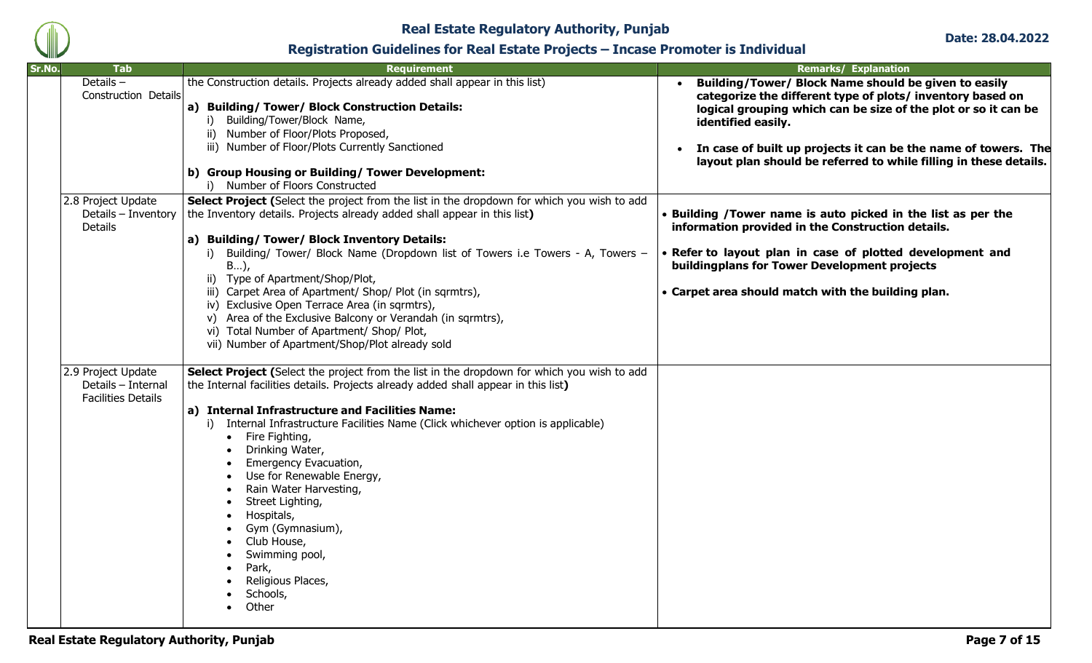

**Date: 28.04.2022**

| Sr.No. | <b>Tab</b>                                                            | <b>Requirement</b>                                                                                                                                                                                                                                                                                                                                                                                                                                                                                                                                                                                                                  | <b>Remarks/ Explanation</b>                                                                                                                                                                                                                                                                                                                       |
|--------|-----------------------------------------------------------------------|-------------------------------------------------------------------------------------------------------------------------------------------------------------------------------------------------------------------------------------------------------------------------------------------------------------------------------------------------------------------------------------------------------------------------------------------------------------------------------------------------------------------------------------------------------------------------------------------------------------------------------------|---------------------------------------------------------------------------------------------------------------------------------------------------------------------------------------------------------------------------------------------------------------------------------------------------------------------------------------------------|
|        | Details-<br>Construction Details                                      | the Construction details. Projects already added shall appear in this list)<br>a) Building/Tower/ Block Construction Details:<br>i) Building/Tower/Block Name,<br>ii) Number of Floor/Plots Proposed,<br>iii) Number of Floor/Plots Currently Sanctioned<br>b) Group Housing or Building/ Tower Development:<br>i) Number of Floors Constructed                                                                                                                                                                                                                                                                                     | Building/Tower/ Block Name should be given to easily<br>categorize the different type of plots/ inventory based on<br>logical grouping which can be size of the plot or so it can be<br>identified easily.<br>In case of built up projects it can be the name of towers. The<br>layout plan should be referred to while filling in these details. |
|        | 2.8 Project Update<br>Details - Inventory<br><b>Details</b>           | Select Project (Select the project from the list in the dropdown for which you wish to add<br>the Inventory details. Projects already added shall appear in this list)<br>a) Building/ Tower/ Block Inventory Details:<br>i) Building/ Tower/ Block Name (Dropdown list of Towers i.e Towers - A, Towers -<br>$B$ ),<br>ii) Type of Apartment/Shop/Plot,<br>iii) Carpet Area of Apartment/ Shop/ Plot (in sqrmtrs),<br>iv) Exclusive Open Terrace Area (in sqrmtrs),<br>v) Area of the Exclusive Balcony or Verandah (in sqrmtrs),<br>vi) Total Number of Apartment/ Shop/ Plot,<br>vii) Number of Apartment/Shop/Plot already sold | • Building / Tower name is auto picked in the list as per the<br>information provided in the Construction details.<br>• Refer to layout plan in case of plotted development and<br>buildingplans for Tower Development projects<br>• Carpet area should match with the building plan.                                                             |
|        | 2.9 Project Update<br>Details - Internal<br><b>Facilities Details</b> | Select Project (Select the project from the list in the dropdown for which you wish to add<br>the Internal facilities details. Projects already added shall appear in this list)<br>a) Internal Infrastructure and Facilities Name:<br>i) Internal Infrastructure Facilities Name (Click whichever option is applicable)<br>• Fire Fighting,<br>Drinking Water,<br>Emergency Evacuation,<br>Use for Renewable Energy,<br>Rain Water Harvesting,<br>Street Lighting,<br>Hospitals,<br>Gym (Gymnasium),<br>Club House,<br>Swimming pool,<br>Park,<br>Religious Places,<br>Schools,<br>Other                                           |                                                                                                                                                                                                                                                                                                                                                   |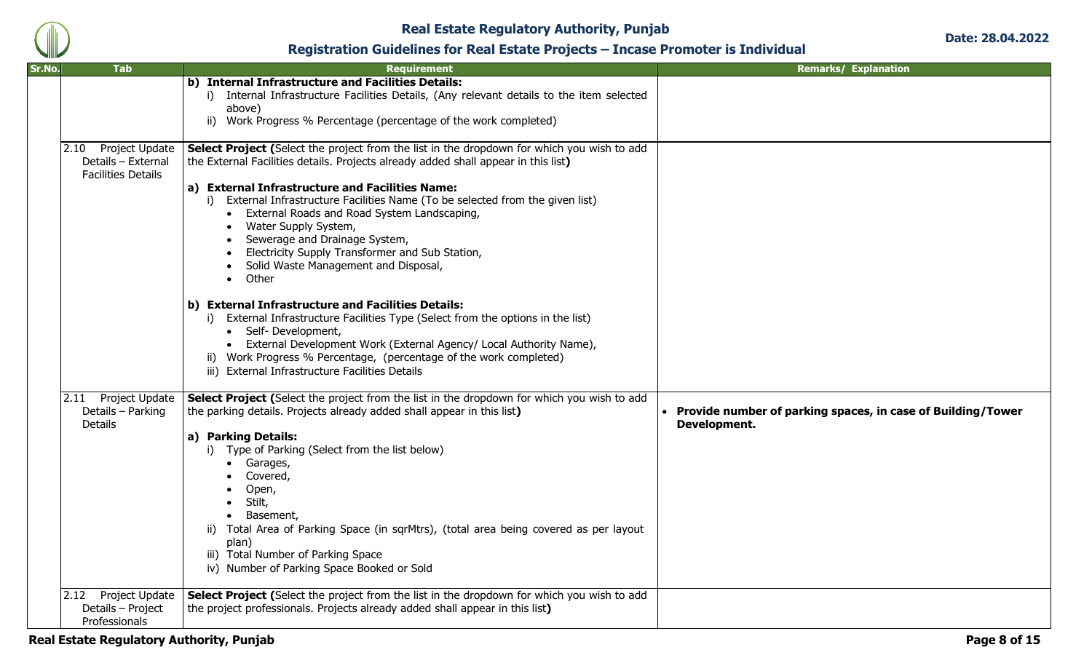

| Sr.No.<br>Tab                                                          | <b>Requirement</b>                                                                                                                                                                                                                                                                                                                                                                                                                                                                                                                                                                                                                                                                                                                                                                                                                                                                                                           | <b>Remarks/ Explanation</b>                                                   |
|------------------------------------------------------------------------|------------------------------------------------------------------------------------------------------------------------------------------------------------------------------------------------------------------------------------------------------------------------------------------------------------------------------------------------------------------------------------------------------------------------------------------------------------------------------------------------------------------------------------------------------------------------------------------------------------------------------------------------------------------------------------------------------------------------------------------------------------------------------------------------------------------------------------------------------------------------------------------------------------------------------|-------------------------------------------------------------------------------|
|                                                                        | b) Internal Infrastructure and Facilities Details:<br>i) Internal Infrastructure Facilities Details, (Any relevant details to the item selected<br>above)<br>ii) Work Progress % Percentage (percentage of the work completed)                                                                                                                                                                                                                                                                                                                                                                                                                                                                                                                                                                                                                                                                                               |                                                                               |
| 2.10 Project Update<br>Details - External<br><b>Facilities Details</b> | Select Project (Select the project from the list in the dropdown for which you wish to add<br>the External Facilities details. Projects already added shall appear in this list)<br>a) External Infrastructure and Facilities Name:<br>i) External Infrastructure Facilities Name (To be selected from the given list)<br>External Roads and Road System Landscaping,<br>Water Supply System,<br>Sewerage and Drainage System,<br>Electricity Supply Transformer and Sub Station,<br>Solid Waste Management and Disposal,<br>Other<br>$\bullet$<br>b) External Infrastructure and Facilities Details:<br>i) External Infrastructure Facilities Type (Select from the options in the list)<br>• Self-Development,<br>External Development Work (External Agency/ Local Authority Name),<br>$\bullet$<br>ii) Work Progress % Percentage, (percentage of the work completed)<br>iii) External Infrastructure Facilities Details |                                                                               |
| 2.11 Project Update<br>Details - Parking<br><b>Details</b>             | Select Project (Select the project from the list in the dropdown for which you wish to add<br>the parking details. Projects already added shall appear in this list)<br>a) Parking Details:<br>Type of Parking (Select from the list below)<br>Garages,<br>Covered,<br>Open,<br>Stilt,<br>$\bullet$<br>Basement,<br>ii) Total Area of Parking Space (in sqrMtrs), (total area being covered as per layout<br>plan)<br>iii) Total Number of Parking Space<br>iv) Number of Parking Space Booked or Sold                                                                                                                                                                                                                                                                                                                                                                                                                       | • Provide number of parking spaces, in case of Building/Tower<br>Development. |
| 2.12 Project Update<br>Details - Project<br>Professionals              | Select Project (Select the project from the list in the dropdown for which you wish to add<br>the project professionals. Projects already added shall appear in this list)                                                                                                                                                                                                                                                                                                                                                                                                                                                                                                                                                                                                                                                                                                                                                   |                                                                               |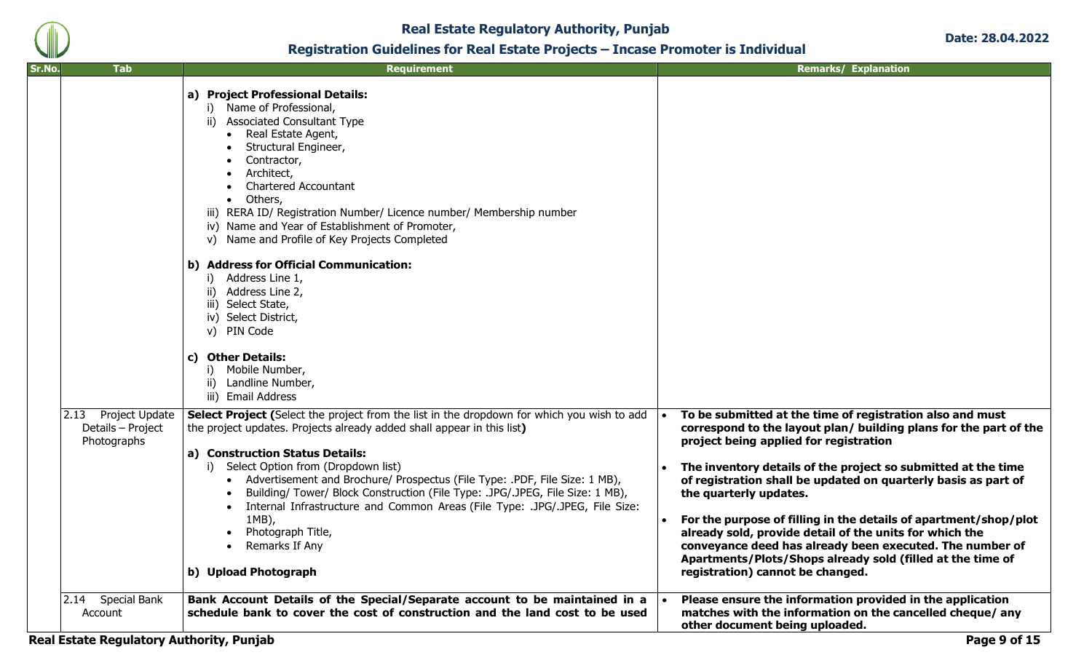

| Sr.No. | <b>Tab</b>                                                 | <b>Requirement</b>                                                                                                                                                                                                                                                                                                                                                                                                                                                                                                                                                                           |           | <b>Remarks/ Explanation</b>                                                                                                                                                                                                                                                                                                                                                                                                                                                                                                                                                                                                        |
|--------|------------------------------------------------------------|----------------------------------------------------------------------------------------------------------------------------------------------------------------------------------------------------------------------------------------------------------------------------------------------------------------------------------------------------------------------------------------------------------------------------------------------------------------------------------------------------------------------------------------------------------------------------------------------|-----------|------------------------------------------------------------------------------------------------------------------------------------------------------------------------------------------------------------------------------------------------------------------------------------------------------------------------------------------------------------------------------------------------------------------------------------------------------------------------------------------------------------------------------------------------------------------------------------------------------------------------------------|
|        |                                                            | a) Project Professional Details:<br>i) Name of Professional,<br><b>Associated Consultant Type</b><br>ii)<br>Real Estate Agent,<br>$\bullet$<br>Structural Engineer,<br>Contractor,<br>Architect,<br><b>Chartered Accountant</b><br>• Others,<br>iii) RERA ID/ Registration Number/ Licence number/ Membership number<br>iv) Name and Year of Establishment of Promoter,<br>Name and Profile of Key Projects Completed<br>V)                                                                                                                                                                  |           |                                                                                                                                                                                                                                                                                                                                                                                                                                                                                                                                                                                                                                    |
|        |                                                            | b) Address for Official Communication:<br>i) Address Line 1,<br>Address Line 2,<br>ii)<br>iii) Select State,<br>iv) Select District,<br>v) PIN Code<br><b>Other Details:</b><br>C)<br>i) Mobile Number,<br>Landline Number,<br>ii)                                                                                                                                                                                                                                                                                                                                                           |           |                                                                                                                                                                                                                                                                                                                                                                                                                                                                                                                                                                                                                                    |
|        | 2.13<br>Project Update<br>Details - Project<br>Photographs | iii) Email Address<br>Select Project (Select the project from the list in the dropdown for which you wish to add<br>the project updates. Projects already added shall appear in this list)<br>a) Construction Status Details:<br>i) Select Option from (Dropdown list)<br>Advertisement and Brochure/ Prospectus (File Type: .PDF, File Size: 1 MB),<br>Building/ Tower/ Block Construction (File Type: .JPG/.JPEG, File Size: 1 MB),<br>Internal Infrastructure and Common Areas (File Type: .JPG/.JPEG, File Size:<br>1MB),<br>Photograph Title,<br>Remarks If Any<br>b) Upload Photograph | $\bullet$ | To be submitted at the time of registration also and must<br>correspond to the layout plan/ building plans for the part of the<br>project being applied for registration<br>The inventory details of the project so submitted at the time<br>of registration shall be updated on quarterly basis as part of<br>the quarterly updates.<br>For the purpose of filling in the details of apartment/shop/plot<br>already sold, provide detail of the units for which the<br>conveyance deed has already been executed. The number of<br>Apartments/Plots/Shops already sold (filled at the time of<br>registration) cannot be changed. |
|        | <b>Special Bank</b><br>2.14<br>Account                     | Bank Account Details of the Special/Separate account to be maintained in a<br>schedule bank to cover the cost of construction and the land cost to be used                                                                                                                                                                                                                                                                                                                                                                                                                                   |           | Please ensure the information provided in the application<br>matches with the information on the cancelled cheque/ any<br>other document being uploaded.                                                                                                                                                                                                                                                                                                                                                                                                                                                                           |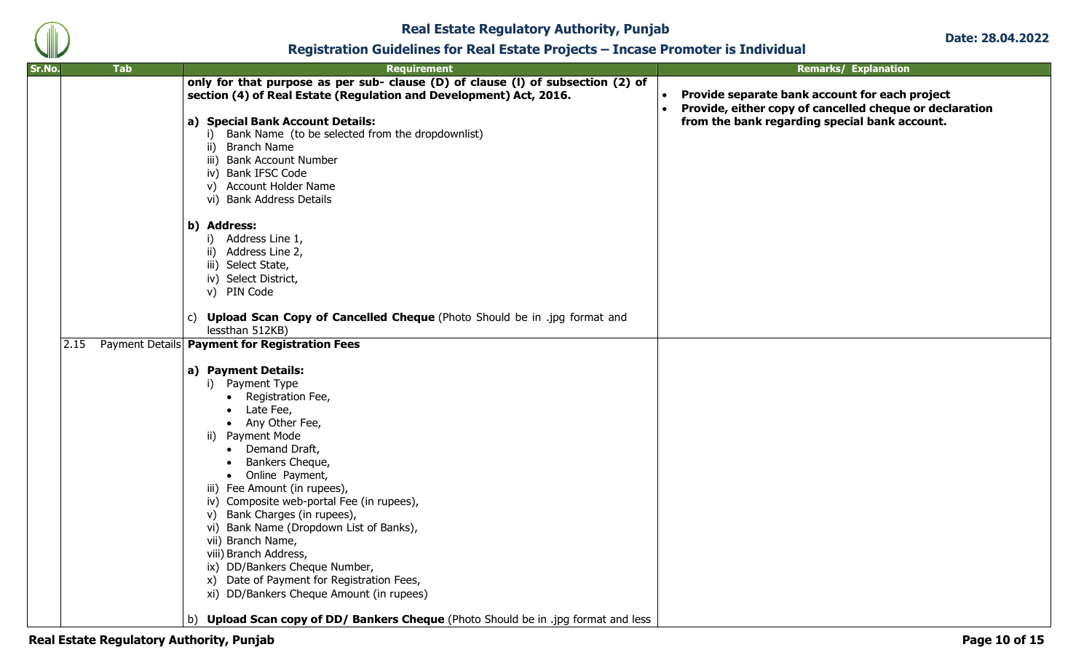

| Sr.No. | <b>Tab</b> | <b>Requirement</b>                                                                                                                                                                                                                                                                                                                                                                                                                                                                                                                                                                                                                                                       | <b>Remarks/ Explanation</b>                                                                                                                                                          |
|--------|------------|--------------------------------------------------------------------------------------------------------------------------------------------------------------------------------------------------------------------------------------------------------------------------------------------------------------------------------------------------------------------------------------------------------------------------------------------------------------------------------------------------------------------------------------------------------------------------------------------------------------------------------------------------------------------------|--------------------------------------------------------------------------------------------------------------------------------------------------------------------------------------|
|        |            | only for that purpose as per sub- clause (D) of clause (I) of subsection (2) of<br>section (4) of Real Estate (Regulation and Development) Act, 2016.<br>a) Special Bank Account Details:<br>i) Bank Name (to be selected from the dropdownlist)<br>ii) Branch Name<br>iii) Bank Account Number<br>iv) Bank IFSC Code<br>v) Account Holder Name<br>vi) Bank Address Details<br>b) Address:                                                                                                                                                                                                                                                                               | Provide separate bank account for each project<br>$\bullet$<br>Provide, either copy of cancelled cheque or declaration<br>$\bullet$<br>from the bank regarding special bank account. |
|        |            | i) Address Line 1,<br>ii) Address Line 2,<br>iii) Select State,<br>iv) Select District,<br>v) PIN Code<br>c) Upload Scan Copy of Cancelled Cheque (Photo Should be in .jpg format and<br>lessthan 512KB)                                                                                                                                                                                                                                                                                                                                                                                                                                                                 |                                                                                                                                                                                      |
|        | 2.15       | Payment Details Payment for Registration Fees<br>a) Payment Details:<br>i) Payment Type<br>Registration Fee,<br>$\bullet$<br>Late Fee,<br>• Any Other Fee,<br>ii) Payment Mode<br>Demand Draft,<br>Bankers Cheque,<br>Online Payment,<br>$\bullet$<br>iii) Fee Amount (in rupees),<br>iv) Composite web-portal Fee (in rupees),<br>v) Bank Charges (in rupees),<br>vi) Bank Name (Dropdown List of Banks),<br>vii) Branch Name,<br>viii) Branch Address,<br>ix) DD/Bankers Cheque Number,<br>x) Date of Payment for Registration Fees,<br>xi) DD/Bankers Cheque Amount (in rupees)<br>b) Upload Scan copy of DD/ Bankers Cheque (Photo Should be in .jpg format and less |                                                                                                                                                                                      |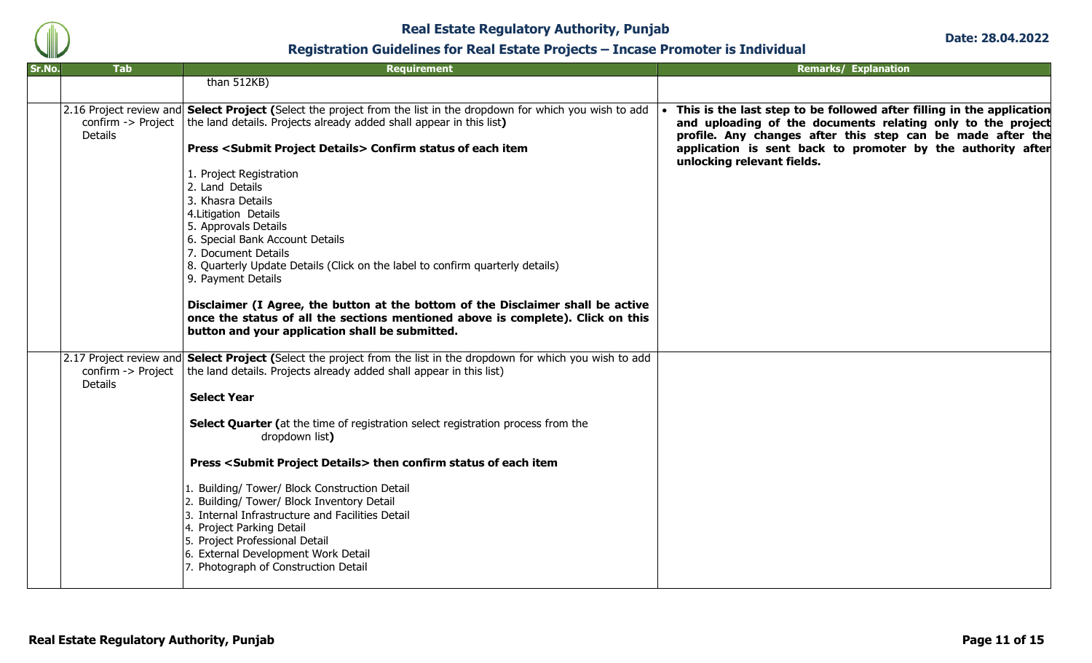

| Sr.No.<br><b>Tab</b>                 | <b>Requirement</b>                                                                                                                                                                                                                                                                                                                                                                                                                                                                                                                                                                                                                                                                                                                                                                           | <b>Remarks/ Explanation</b>                                                                                                                                                                                                                                                                     |
|--------------------------------------|----------------------------------------------------------------------------------------------------------------------------------------------------------------------------------------------------------------------------------------------------------------------------------------------------------------------------------------------------------------------------------------------------------------------------------------------------------------------------------------------------------------------------------------------------------------------------------------------------------------------------------------------------------------------------------------------------------------------------------------------------------------------------------------------|-------------------------------------------------------------------------------------------------------------------------------------------------------------------------------------------------------------------------------------------------------------------------------------------------|
|                                      | than 512KB)                                                                                                                                                                                                                                                                                                                                                                                                                                                                                                                                                                                                                                                                                                                                                                                  |                                                                                                                                                                                                                                                                                                 |
| confirm -> Project<br><b>Details</b> | [2.16 Project review and Select Project (Select the project from the list in the dropdown for which you wish to add<br>the land details. Projects already added shall appear in this list)<br><b>Press <submit details="" project=""> Confirm status of each item</submit></b><br>1. Project Registration<br>2. Land Details<br>3. Khasra Details<br>4. Litigation Details<br>5. Approvals Details<br>6. Special Bank Account Details<br>7. Document Details<br>8. Quarterly Update Details (Click on the label to confirm quarterly details)<br>9. Payment Details<br>Disclaimer (I Agree, the button at the bottom of the Disclaimer shall be active<br>once the status of all the sections mentioned above is complete). Click on this<br>button and your application shall be submitted. | This is the last step to be followed after filling in the application<br>and uploading of the documents relating only to the project<br>profile. Any changes after this step can be made after the<br>application is sent back to promoter by the authority after<br>unlocking relevant fields. |
| confirm -> Project<br><b>Details</b> | 2.17 Project review and <b>Select Project (</b> Select the project from the list in the dropdown for which you wish to add<br>the land details. Projects already added shall appear in this list)<br><b>Select Year</b><br>Select Quarter (at the time of registration select registration process from the<br>dropdown list)<br>Press <submit details="" project=""> then confirm status of each item<br/>1. Building/ Tower/ Block Construction Detail<br/>2. Building/ Tower/ Block Inventory Detail<br/>3. Internal Infrastructure and Facilities Detail<br/>4. Project Parking Detail<br/>5. Project Professional Detail<br/>6. External Development Work Detail<br/>7. Photograph of Construction Detail</submit>                                                                      |                                                                                                                                                                                                                                                                                                 |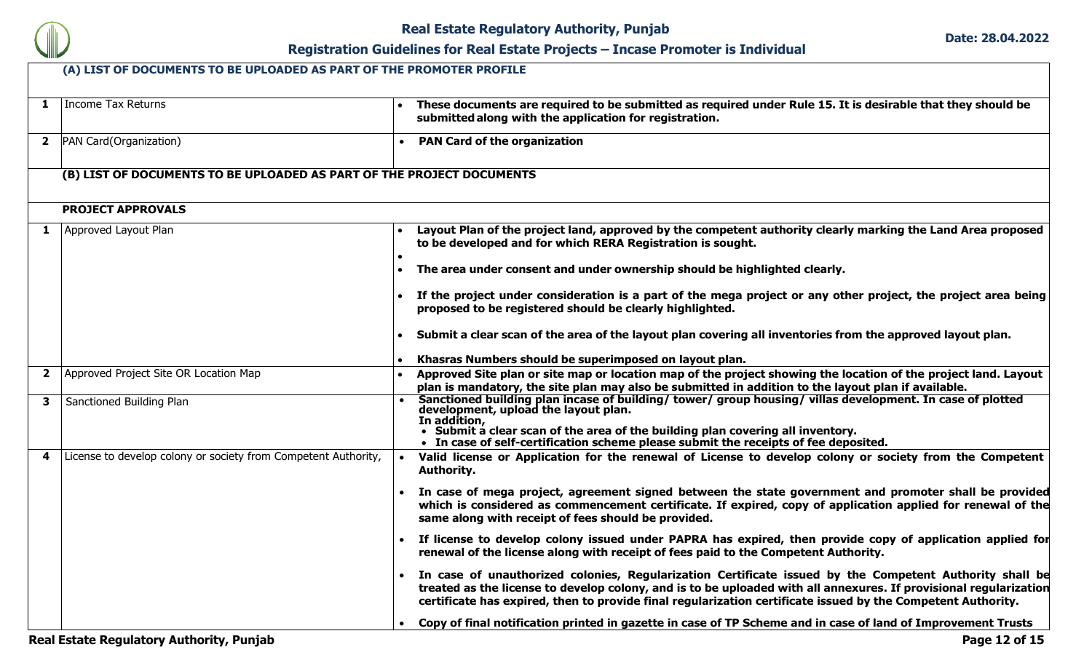

| 1              | Income Tax Returns                                                    |           | These documents are required to be submitted as required under Rule 15. It is desirable that they should be<br>submitted along with the application for registration.                                                                                                                                                                        |
|----------------|-----------------------------------------------------------------------|-----------|----------------------------------------------------------------------------------------------------------------------------------------------------------------------------------------------------------------------------------------------------------------------------------------------------------------------------------------------|
| $\mathbf{2}$   | PAN Card(Organization)                                                |           | <b>PAN Card of the organization</b>                                                                                                                                                                                                                                                                                                          |
|                | (B) LIST OF DOCUMENTS TO BE UPLOADED AS PART OF THE PROJECT DOCUMENTS |           |                                                                                                                                                                                                                                                                                                                                              |
|                | <b>PROJECT APPROVALS</b>                                              |           |                                                                                                                                                                                                                                                                                                                                              |
|                | Approved Layout Plan                                                  |           | Layout Plan of the project land, approved by the competent authority clearly marking the Land Area proposed<br>to be developed and for which RERA Registration is sought.                                                                                                                                                                    |
|                |                                                                       |           | The area under consent and under ownership should be highlighted clearly.                                                                                                                                                                                                                                                                    |
|                |                                                                       |           | If the project under consideration is a part of the mega project or any other project, the project area being<br>proposed to be registered should be clearly highlighted.                                                                                                                                                                    |
|                |                                                                       |           | Submit a clear scan of the area of the layout plan covering all inventories from the approved layout plan.                                                                                                                                                                                                                                   |
|                |                                                                       |           | Khasras Numbers should be superimposed on layout plan.                                                                                                                                                                                                                                                                                       |
| $\overline{2}$ | Approved Project Site OR Location Map                                 |           | Approved Site plan or site map or location map of the project showing the location of the project land. Layout<br>plan is mandatory, the site plan may also be submitted in addition to the layout plan if available.                                                                                                                        |
| $\mathbf{3}$   | Sanctioned Building Plan                                              |           | Sanctioned building plan incase of building/ tower/ group housing/ villas development. In case of plotted<br>development, upload the layout plan.<br>In addition,<br>• Submit a clear scan of the area of the building plan covering all inventory.                                                                                          |
|                |                                                                       |           | • In case of self-certification scheme please submit the receipts of fee deposited.                                                                                                                                                                                                                                                          |
| 4              | License to develop colony or society from Competent Authority,        |           | Valid license or Application for the renewal of License to develop colony or society from the Competent<br><b>Authority.</b>                                                                                                                                                                                                                 |
|                |                                                                       |           | In case of mega project, agreement signed between the state government and promoter shall be provided<br>which is considered as commencement certificate. If expired, copy of application applied for renewal of the<br>same along with receipt of fees should be provided.                                                                  |
|                |                                                                       | $\bullet$ | If license to develop colony issued under PAPRA has expired, then provide copy of application applied for<br>renewal of the license along with receipt of fees paid to the Competent Authority.                                                                                                                                              |
|                |                                                                       |           | In case of unauthorized colonies, Regularization Certificate issued by the Competent Authority shall be<br>treated as the license to develop colony, and is to be uploaded with all annexures. If provisional regularization<br>certificate has expired, then to provide final regularization certificate issued by the Competent Authority. |
|                |                                                                       |           | Copy of final notification printed in gazette in case of TP Scheme and in case of land of Improvement Trusts                                                                                                                                                                                                                                 |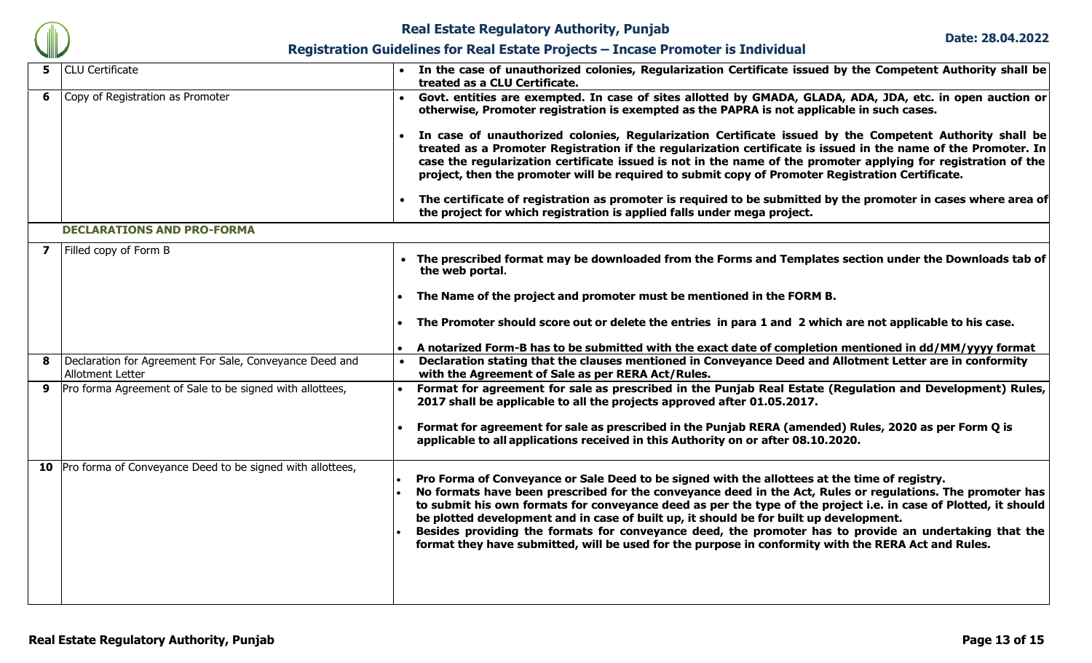

| 5. | <b>CLU</b> Certificate                                                      |  | In the case of unauthorized colonies, Regularization Certificate issued by the Competent Authority shall be<br>treated as a CLU Certificate.                                                                                                                                                                                                                                                                                                                                                                                                                                                                                              |  |  |  |  |
|----|-----------------------------------------------------------------------------|--|-------------------------------------------------------------------------------------------------------------------------------------------------------------------------------------------------------------------------------------------------------------------------------------------------------------------------------------------------------------------------------------------------------------------------------------------------------------------------------------------------------------------------------------------------------------------------------------------------------------------------------------------|--|--|--|--|
| 6  | Copy of Registration as Promoter                                            |  | Govt. entities are exempted. In case of sites allotted by GMADA, GLADA, ADA, JDA, etc. in open auction or<br>otherwise, Promoter registration is exempted as the PAPRA is not applicable in such cases.                                                                                                                                                                                                                                                                                                                                                                                                                                   |  |  |  |  |
|    |                                                                             |  | In case of unauthorized colonies, Regularization Certificate issued by the Competent Authority shall be<br>treated as a Promoter Registration if the regularization certificate is issued in the name of the Promoter. In<br>case the regularization certificate issued is not in the name of the promoter applying for registration of the<br>project, then the promoter will be required to submit copy of Promoter Registration Certificate.                                                                                                                                                                                           |  |  |  |  |
|    |                                                                             |  | The certificate of registration as promoter is required to be submitted by the promoter in cases where area of<br>the project for which registration is applied falls under mega project.                                                                                                                                                                                                                                                                                                                                                                                                                                                 |  |  |  |  |
|    | <b>DECLARATIONS AND PRO-FORMA</b>                                           |  |                                                                                                                                                                                                                                                                                                                                                                                                                                                                                                                                                                                                                                           |  |  |  |  |
| 7  | Filled copy of Form B                                                       |  | The prescribed format may be downloaded from the Forms and Templates section under the Downloads tab of<br>the web portal.                                                                                                                                                                                                                                                                                                                                                                                                                                                                                                                |  |  |  |  |
|    |                                                                             |  | The Name of the project and promoter must be mentioned in the FORM B.                                                                                                                                                                                                                                                                                                                                                                                                                                                                                                                                                                     |  |  |  |  |
|    |                                                                             |  | The Promoter should score out or delete the entries in para 1 and 2 which are not applicable to his case.                                                                                                                                                                                                                                                                                                                                                                                                                                                                                                                                 |  |  |  |  |
|    |                                                                             |  | A notarized Form-B has to be submitted with the exact date of completion mentioned in dd/MM/yyyy format                                                                                                                                                                                                                                                                                                                                                                                                                                                                                                                                   |  |  |  |  |
| 8  | Declaration for Agreement For Sale, Conveyance Deed and<br>Allotment Letter |  | Declaration stating that the clauses mentioned in Conveyance Deed and Allotment Letter are in conformity<br>with the Agreement of Sale as per RERA Act/Rules.                                                                                                                                                                                                                                                                                                                                                                                                                                                                             |  |  |  |  |
| 9  | Pro forma Agreement of Sale to be signed with allottees,                    |  | Format for agreement for sale as prescribed in the Punjab Real Estate (Regulation and Development) Rules,<br>2017 shall be applicable to all the projects approved after 01.05.2017.                                                                                                                                                                                                                                                                                                                                                                                                                                                      |  |  |  |  |
|    |                                                                             |  | Format for agreement for sale as prescribed in the Punjab RERA (amended) Rules, 2020 as per Form Q is<br>applicable to all applications received in this Authority on or after 08.10.2020.                                                                                                                                                                                                                                                                                                                                                                                                                                                |  |  |  |  |
| 10 | Pro forma of Conveyance Deed to be signed with allottees,                   |  | Pro Forma of Conveyance or Sale Deed to be signed with the allottees at the time of registry.<br>No formats have been prescribed for the conveyance deed in the Act, Rules or regulations. The promoter has<br>to submit his own formats for conveyance deed as per the type of the project i.e. in case of Plotted, it should<br>be plotted development and in case of built up, it should be for built up development.<br>Besides providing the formats for conveyance deed, the promoter has to provide an undertaking that the<br>format they have submitted, will be used for the purpose in conformity with the RERA Act and Rules. |  |  |  |  |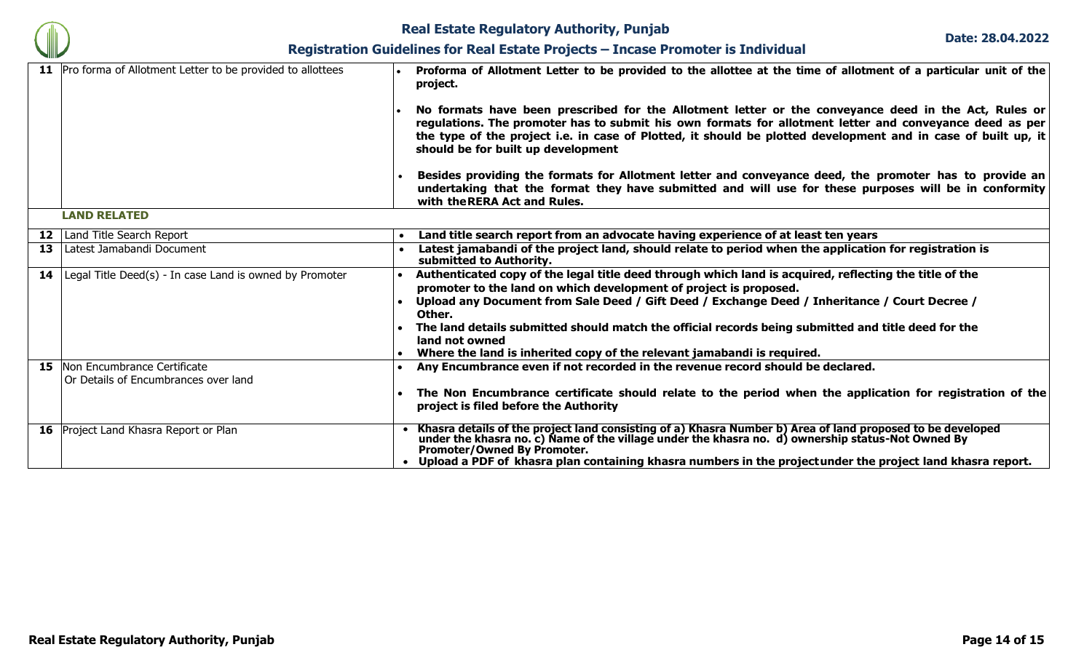

| 11 Pro forma of Allotment Letter to be provided to allottees                  | Proforma of Allotment Letter to be provided to the allottee at the time of allotment of a particular unit of the<br>project.<br>No formats have been prescribed for the Allotment letter or the conveyance deed in the Act, Rules or<br>regulations. The promoter has to submit his own formats for allotment letter and conveyance deed as per<br>the type of the project i.e. in case of Plotted, it should be plotted development and in case of built up, it<br>should be for built up development<br>Besides providing the formats for Allotment letter and conveyance deed, the promoter has to provide an<br>undertaking that the format they have submitted and will use for these purposes will be in conformity<br>with the RERA Act and Rules. |  |  |  |  |
|-------------------------------------------------------------------------------|-----------------------------------------------------------------------------------------------------------------------------------------------------------------------------------------------------------------------------------------------------------------------------------------------------------------------------------------------------------------------------------------------------------------------------------------------------------------------------------------------------------------------------------------------------------------------------------------------------------------------------------------------------------------------------------------------------------------------------------------------------------|--|--|--|--|
| <b>LAND RELATED</b>                                                           |                                                                                                                                                                                                                                                                                                                                                                                                                                                                                                                                                                                                                                                                                                                                                           |  |  |  |  |
| <b>12</b>   Land Title Search Report                                          | Land title search report from an advocate having experience of at least ten years                                                                                                                                                                                                                                                                                                                                                                                                                                                                                                                                                                                                                                                                         |  |  |  |  |
| <b>13</b> Latest Jamabandi Document                                           | Latest jamabandi of the project land, should relate to period when the application for registration is<br>submitted to Authority.                                                                                                                                                                                                                                                                                                                                                                                                                                                                                                                                                                                                                         |  |  |  |  |
| <b>14</b> Legal Title Deed(s) - In case Land is owned by Promoter             | Authenticated copy of the legal title deed through which land is acquired, reflecting the title of the<br>promoter to the land on which development of project is proposed.<br>Upload any Document from Sale Deed / Gift Deed / Exchange Deed / Inheritance / Court Decree /<br>Other.<br>The land details submitted should match the official records being submitted and title deed for the<br>land not owned<br>Where the land is inherited copy of the relevant jamabandi is required.                                                                                                                                                                                                                                                                |  |  |  |  |
| <b>15</b> Non Encumbrance Certificate<br>Or Details of Encumbrances over land | Any Encumbrance even if not recorded in the revenue record should be declared.<br>The Non Encumbrance certificate should relate to the period when the application for registration of the<br>project is filed before the Authority                                                                                                                                                                                                                                                                                                                                                                                                                                                                                                                       |  |  |  |  |
| <b>16</b> Project Land Khasra Report or Plan                                  | Khasra details of the project land consisting of a) Khasra Number b) Area of land proposed to be developed<br>under the khasra no. c) Name of the village under the khasra no. d) ownership status-Not Owned By<br>Promoter/Owned By Promoter.<br>Upload a PDF of khasra plan containing khasra numbers in the projectunder the project land khasra report.                                                                                                                                                                                                                                                                                                                                                                                               |  |  |  |  |